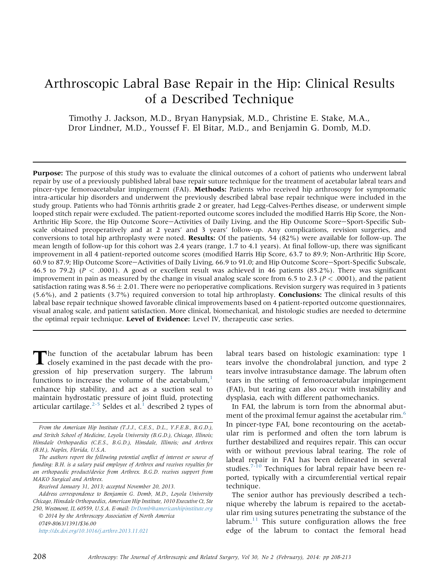# Arthroscopic Labral Base Repair in the Hip: Clinical Results of a Described Technique

Timothy J. Jackson, M.D., Bryan Hanypsiak, M.D., Christine E. Stake, M.A., Dror Lindner, M.D., Youssef F. El Bitar, M.D., and Benjamin G. Domb, M.D.

Purpose: The purpose of this study was to evaluate the clinical outcomes of a cohort of patients who underwent labral repair by use of a previously published labral base repair suture technique for the treatment of acetabular labral tears and pincer-type femoroacetabular impingement (FAI). Methods: Patients who received hip arthroscopy for symptomatic intra-articular hip disorders and underwent the previously described labral base repair technique were included in the study group. Patients who had Tönnis arthritis grade 2 or greater, had Legg-Calves-Perthes disease, or underwent simple looped stitch repair were excluded. The patient-reported outcome scores included the modified Harris Hip Score, the Non-Arthritic Hip Score, the Hip Outcome Score-Activities of Daily Living, and the Hip Outcome Score-Sport-Specific Subscale obtained preoperatively and at 2 years' and 3 years' follow-up. Any complications, revision surgeries, and conversions to total hip arthroplasty were noted. Results: Of the patients, 54 (82%) were available for follow-up. The mean length of follow-up for this cohort was 2.4 years (range, 1.7 to 4.1 years). At final follow-up, there was significant improvement in all 4 patient-reported outcome scores (modified Harris Hip Score, 63.7 to 89.9; Non-Arthritic Hip Score, 60.9 to 87.9; Hip Outcome Score-Activities of Daily Living, 66.9 to 91.0; and Hip Outcome Score-Sport-Specific Subscale, 46.5 to 79.2) ( $P < .0001$ ). A good or excellent result was achieved in 46 patients (85.2%). There was significant improvement in pain as measured by the change in visual analog scale score from 6.5 to 2.3 ( $P < .0001$ ), and the patient satisfaction rating was  $8.56 \pm 2.01$ . There were no perioperative complications. Revision surgery was required in 3 patients  $(5.6\%)$ , and 2 patients  $(3.7\%)$  required conversion to total hip arthroplasty. **Conclusions:** The clinical results of this labral base repair technique showed favorable clinical improvements based on 4 patient-reported outcome questionnaires, visual analog scale, and patient satisfaction. More clinical, biomechanical, and histologic studies are needed to determine the optimal repair technique. Level of Evidence: Level IV, therapeutic case series.

The function of the acetabular labrum has been closely examined in the past decade with the progression of hip preservation surgery. The labrum functions to increase the volume of the acetabulum, $\frac{1}{1}$  $\frac{1}{1}$  $\frac{1}{1}$ enhance hip stability, and act as a suction seal to maintain hydrostatic pressure of joint fluid, protecting articular cartilage.<sup>[2-5](#page-5-0)</sup> Seldes et al.<sup>[1](#page-5-0)</sup> described 2 types of

 2014 by the Arthroscopy Association of North America 0749-8063/1391/\$36.00 <http://dx.doi.org/10.1016/j.arthro.2013.11.021>

labral tears based on histologic examination: type 1 tears involve the chondrolabral junction, and type 2 tears involve intrasubstance damage. The labrum often tears in the setting of femoroacetabular impingement (FAI), but tearing can also occur with instability and dysplasia, each with different pathomechanics.

In FAI, the labrum is torn from the abnormal abut-ment of the proximal femur against the acetabular rim.<sup>[6](#page-5-0)</sup> In pincer-type FAI, bone recontouring on the acetabular rim is performed and often the torn labrum is further destabilized and requires repair. This can occur with or without previous labral tearing. The role of labral repair in FAI has been delineated in several studies.<sup>[7-10](#page-5-0)</sup> Techniques for labral repair have been reported, typically with a circumferential vertical repair technique.

The senior author has previously described a technique whereby the labrum is repaired to the acetabular rim using sutures penetrating the substance of the labrum. $11$  This suture configuration allows the free edge of the labrum to contact the femoral head

From the American Hip Institute (T.J.J., C.E.S., D.L., Y.F.E.B., B.G.D.), and Stritch School of Medicine, Loyola University (B.G.D.), Chicago, Illinois; Hinsdale Orthopaedics (C.E.S., B.G.D.), Hinsdale, Illinois; and Arthrex (B.H.), Naples, Florida, U.S.A.

The authors report the following potential conflict of interest or source of funding: B.H. is a salary paid employee of Arthrex and receives royalties for an orthopaedic product/device from Arthrex. B.G.D. receives support from MAKO Surgical and Arthrex.

Received January 31, 2013; accepted November 20, 2013.

Address correspondence to Benjamin G. Domb, M.D., Loyola University Chicago, Hinsdale Orthopaedics, American Hip Institute, 1010 Executive Ct, Ste 250, Westmont, IL 60559, U.S.A. E-mail: [DrDomb@americanhipinstitute.org](mailto:DrDomb@americanhipinstitute.org)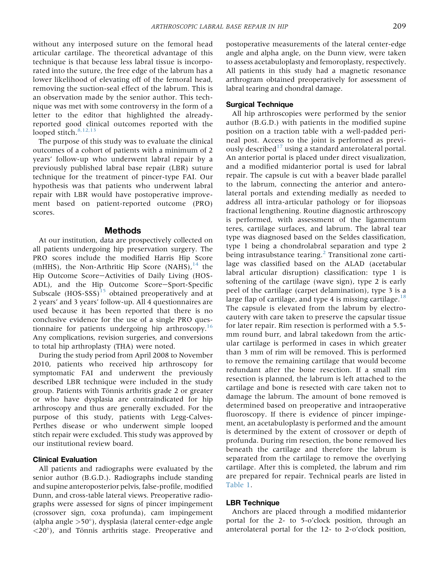without any interposed suture on the femoral head articular cartilage. The theoretical advantage of this technique is that because less labral tissue is incorporated into the suture, the free edge of the labrum has a lower likelihood of elevating off of the femoral head, removing the suction-seal effect of the labrum. This is an observation made by the senior author. This technique was met with some controversy in the form of a letter to the editor that highlighted the alreadyreported good clinical outcomes reported with the

looped stitch.<sup>[8,12,13](#page-5-0)</sup> The purpose of this study was to evaluate the clinical outcomes of a cohort of patients with a minimum of 2 years' follow-up who underwent labral repair by a previously published labral base repair (LBR) suture technique for the treatment of pincer-type FAI. Our hypothesis was that patients who underwent labral repair with LBR would have postoperative improvement based on patient-reported outcome (PRO) scores.

#### Methods

At our institution, data are prospectively collected on all patients undergoing hip preservation surgery. The PRO scores include the modified Harris Hip Score (mHHS), the Non-Arthritic Hip Score (NAHS),  $^{14}$  $^{14}$  $^{14}$  the Hip Outcome Score-Activities of Daily Living (HOS-ADL), and the Hip Outcome Score-Sport-Specific Subscale  $(HOS-SSS)^{15}$  $(HOS-SSS)^{15}$  $(HOS-SSS)^{15}$  obtained preoperatively and at 2 years' and 3 years' follow-up. All 4 questionnaires are used because it has been reported that there is no conclusive evidence for the use of a single PRO ques-tionnaire for patients undergoing hip arthroscopy.<sup>[16](#page-5-0)</sup> Any complications, revision surgeries, and conversions to total hip arthroplasty (THA) were noted.

During the study period from April 2008 to November 2010, patients who received hip arthroscopy for symptomatic FAI and underwent the previously described LBR technique were included in the study group. Patients with Tönnis arthritis grade 2 or greater or who have dysplasia are contraindicated for hip arthroscopy and thus are generally excluded. For the purpose of this study, patients with Legg-Calves-Perthes disease or who underwent simple looped stitch repair were excluded. This study was approved by our institutional review board.

## Clinical Evaluation

All patients and radiographs were evaluated by the senior author (B.G.D.). Radiographs include standing and supine anteroposterior pelvis, false-profile, modified Dunn, and cross-table lateral views. Preoperative radiographs were assessed for signs of pincer impingement (crossover sign, coxa profunda), cam impingement (alpha angle  $>50^{\circ}$ ), dysplasia (lateral center-edge angle  $\langle 20^\circ \rangle$ , and Tönnis arthritis stage. Preoperative and

postoperative measurements of the lateral center-edge angle and alpha angle, on the Dunn view, were taken to assess acetabuloplasty and femoroplasty, respectively. All patients in this study had a magnetic resonance arthrogram obtained preoperatively for assessment of labral tearing and chondral damage.

# Surgical Technique

All hip arthroscopies were performed by the senior author (B.G.D.) with patients in the modified supine position on a traction table with a well-padded perineal post. Access to the joint is performed as previ-ously described<sup>[17](#page-5-0)</sup> using a standard anterolateral portal. An anterior portal is placed under direct visualization, and a modified midanterior portal is used for labral repair. The capsule is cut with a beaver blade parallel to the labrum, connecting the anterior and anterolateral portals and extending medially as needed to address all intra-articular pathology or for iliopsoas fractional lengthening. Routine diagnostic arthroscopy is performed, with assessment of the ligamentum teres, cartilage surfaces, and labrum. The labral tear type was diagnosed based on the Seldes classification, type 1 being a chondrolabral separation and type 2 being intrasubstance tearing.<sup>[2](#page-5-0)</sup> Transitional zone cartilage was classified based on the ALAD (acetabular labral articular disruption) classification: type 1 is softening of the cartilage (wave sign), type 2 is early peel of the cartilage (carpet delamination), type 3 is a large flap of cartilage, and type 4 is missing cartilage.<sup>[18](#page-5-0)</sup> The capsule is elevated from the labrum by electrocautery with care taken to preserve the capsular tissue for later repair. Rim resection is performed with a 5.5 mm round burr, and labral takedown from the articular cartilage is performed in cases in which greater than 3 mm of rim will be removed. This is performed to remove the remaining cartilage that would become redundant after the bone resection. If a small rim resection is planned, the labrum is left attached to the cartilage and bone is resected with care taken not to damage the labrum. The amount of bone removed is determined based on preoperative and intraoperative fluoroscopy. If there is evidence of pincer impingement, an acetabuloplasty is performed and the amount is determined by the extent of crossover or depth of profunda. During rim resection, the bone removed lies beneath the cartilage and therefore the labrum is separated from the cartilage to remove the overlying cartilage. After this is completed, the labrum and rim are prepared for repair. Technical pearls are listed in [Table 1.](#page-2-0)

#### LBR Technique

Anchors are placed through a modified midanterior portal for the 2- to 5-o'clock position, through an anterolateral portal for the 12- to 2-o'clock position,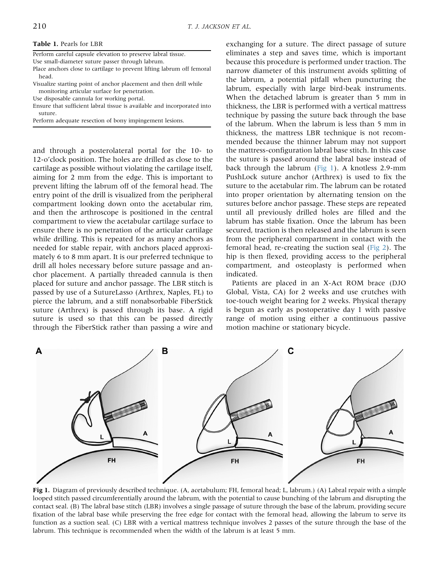#### <span id="page-2-0"></span>Table 1. Pearls for LBR

Perform careful capsule elevation to preserve labral tissue.

Use small-diameter suture passer through labrum.

- Place anchors close to cartilage to prevent lifting labrum off femoral head.
- Visualize starting point of anchor placement and then drill while monitoring articular surface for penetration.
- Use disposable cannula for working portal.
- Ensure that sufficient labral tissue is available and incorporated into suture.
- Perform adequate resection of bony impingement lesions.

and through a posterolateral portal for the 10- to 12-o'clock position. The holes are drilled as close to the cartilage as possible without violating the cartilage itself, aiming for 2 mm from the edge. This is important to prevent lifting the labrum off of the femoral head. The entry point of the drill is visualized from the peripheral compartment looking down onto the acetabular rim, and then the arthroscope is positioned in the central compartment to view the acetabular cartilage surface to ensure there is no penetration of the articular cartilage while drilling. This is repeated for as many anchors as needed for stable repair, with anchors placed approximately 6 to 8 mm apart. It is our preferred technique to drill all holes necessary before suture passage and anchor placement. A partially threaded cannula is then placed for suture and anchor passage. The LBR stitch is passed by use of a SutureLasso (Arthrex, Naples, FL) to pierce the labrum, and a stiff nonabsorbable FiberStick suture (Arthrex) is passed through its base. A rigid suture is used so that this can be passed directly through the FiberStick rather than passing a wire and exchanging for a suture. The direct passage of suture eliminates a step and saves time, which is important because this procedure is performed under traction. The narrow diameter of this instrument avoids splitting of the labrum, a potential pitfall when puncturing the labrum, especially with large bird-beak instruments. When the detached labrum is greater than 5 mm in thickness, the LBR is performed with a vertical mattress technique by passing the suture back through the base of the labrum. When the labrum is less than 5 mm in thickness, the mattress LBR technique is not recommended because the thinner labrum may not support the mattress-configuration labral base stitch. In this case the suture is passed around the labral base instead of back through the labrum (Fig 1). A knotless 2.9-mm PushLock suture anchor (Arthrex) is used to fix the suture to the acetabular rim. The labrum can be rotated into proper orientation by alternating tension on the sutures before anchor passage. These steps are repeated until all previously drilled holes are filled and the labrum has stable fixation. Once the labrum has been secured, traction is then released and the labrum is seen from the peripheral compartment in contact with the femoral head, re-creating the suction seal [\(Fig 2\)](#page-3-0). The hip is then flexed, providing access to the peripheral compartment, and osteoplasty is performed when indicated.

Patients are placed in an X-Act ROM brace (DJO Global, Vista, CA) for 2 weeks and use crutches with toe-touch weight bearing for 2 weeks. Physical therapy is begun as early as postoperative day 1 with passive range of motion using either a continuous passive motion machine or stationary bicycle.



Fig 1. Diagram of previously described technique. (A, acetabulum; FH, femoral head; L, labrum.) (A) Labral repair with a simple looped stitch passed circumferentially around the labrum, with the potential to cause bunching of the labrum and disrupting the contact seal. (B) The labral base stitch (LBR) involves a single passage of suture through the base of the labrum, providing secure fixation of the labral base while preserving the free edge for contact with the femoral head, allowing the labrum to serve its function as a suction seal. (C) LBR with a vertical mattress technique involves 2 passes of the suture through the base of the labrum. This technique is recommended when the width of the labrum is at least 5 mm.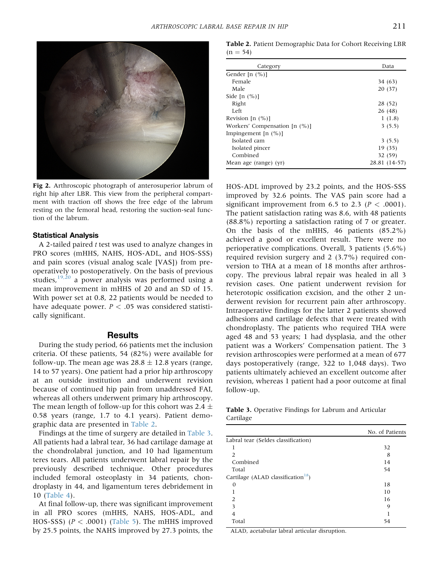<span id="page-3-0"></span>

Fig 2. Arthroscopic photograph of anterosuperior labrum of right hip after LBR. This view from the peripheral compartment with traction off shows the free edge of the labrum resting on the femoral head, restoring the suction-seal function of the labrum.

#### Statistical Analysis

A 2-tailed paired t test was used to analyze changes in PRO scores (mHHS, NAHS, HOS-ADL, and HOS-SSS) and pain scores (visual analog scale [VAS]) from preoperatively to postoperatively. On the basis of previous studies,[19,20](#page-5-0) a power analysis was performed using a mean improvement in mHHS of 20 and an SD of 15. With power set at 0.8, 22 patients would be needed to have adequate power.  $P < .05$  was considered statistically significant.

#### Results

During the study period, 66 patients met the inclusion criteria. Of these patients, 54 (82%) were available for follow-up. The mean age was  $28.8 \pm 12.8$  years (range, 14 to 57 years). One patient had a prior hip arthroscopy at an outside institution and underwent revision because of continued hip pain from unaddressed FAI, whereas all others underwent primary hip arthroscopy. The mean length of follow-up for this cohort was  $2.4 \pm$ 0.58 years (range, 1.7 to 4.1 years). Patient demographic data are presented in Table 2.

Findings at the time of surgery are detailed in Table 3. All patients had a labral tear, 36 had cartilage damage at the chondrolabral junction, and 10 had ligamentum teres tears. All patients underwent labral repair by the previously described technique. Other procedures included femoral osteoplasty in 34 patients, chondroplasty in 44, and ligamentum teres debridement in 10 ([Table 4\)](#page-4-0).

At final follow-up, there was significant improvement in all PRO scores (mHHS, NAHS, HOS-ADL, and HOS-SSS) ( $P < .0001$ ) ([Table 5](#page-4-0)). The mHHS improved by 25.5 points, the NAHS improved by 27.3 points, the

Table 2. Patient Demographic Data for Cohort Receiving LBR  $(n = 54)$ 

| Category                           | Data          |
|------------------------------------|---------------|
| Gender $[n \ (\%)]$                |               |
| Female                             | 34 (63)       |
| Male                               | 20 (37)       |
| Side $[n \ (\%)]$                  |               |
| Right                              | 28 (52)       |
| Left                               | 26 (48)       |
| Revision $[n (%)]$                 | 1(1.8)        |
| Workers' Compensation $[n \ (\%)]$ | 3(5.5)        |
| Impingement $[n (%)]$              |               |
| Isolated cam                       | 3(5.5)        |
| Isolated pincer                    | 19 (35)       |
| Combined                           | 32 (59)       |
| Mean age (range) (yr)              | 28.81 (14-57) |

HOS-ADL improved by 23.2 points, and the HOS-SSS improved by 32.6 points. The VAS pain score had a significant improvement from 6.5 to 2.3 ( $P < .0001$ ). The patient satisfaction rating was 8.6, with 48 patients (88.8%) reporting a satisfaction rating of 7 or greater. On the basis of the mHHS, 46 patients (85.2%) achieved a good or excellent result. There were no perioperative complications. Overall, 3 patients (5.6%) required revision surgery and 2 (3.7%) required conversion to THA at a mean of 18 months after arthroscopy. The previous labral repair was healed in all 3 revision cases. One patient underwent revision for heterotopic ossification excision, and the other 2 underwent revision for recurrent pain after arthroscopy. Intraoperative findings for the latter 2 patients showed adhesions and cartilage defects that were treated with chondroplasty. The patients who required THA were aged 48 and 53 years; 1 had dysplasia, and the other patient was a Workers' Compensation patient. The 3 revision arthroscopies were performed at a mean of 677 days postoperatively (range, 322 to 1,048 days). Two patients ultimately achieved an excellent outcome after revision, whereas 1 patient had a poor outcome at final follow-up.

Table 3. Operative Findings for Labrum and Articular Cartilage

|                                                | No. of Patients |
|------------------------------------------------|-----------------|
| Labral tear (Seldes classification)            |                 |
|                                                | 32              |
| 2                                              | 8               |
| Combined                                       | 14              |
| Total                                          | 54              |
| Cartilage (ALAD classification <sup>18</sup> ) |                 |
| $\Omega$                                       | 18              |
|                                                | 10              |
| 2                                              | 16              |
| 3                                              | 9               |
| 4                                              |                 |
| Total                                          | 54              |

ALAD, acetabular labral articular disruption.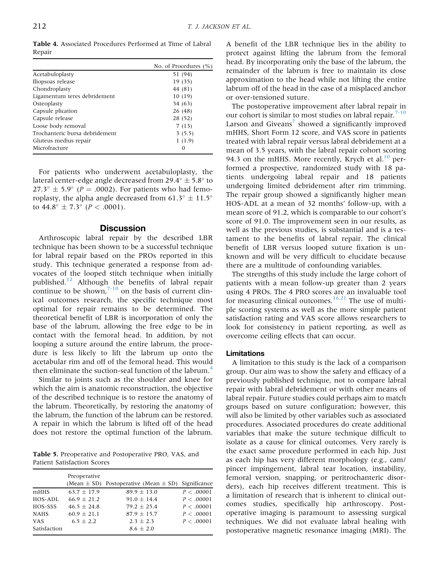<span id="page-4-0"></span>Table 4. Associated Procedures Performed at Time of Labral Repair

|                                | No. of Procedures $(\% )$ |
|--------------------------------|---------------------------|
| Acetabuloplasty                | 51 (94)                   |
| Iliopsoas release              | 19 (35)                   |
| Chondroplasty                  | 44 (81)                   |
| Ligamentum teres debridement   | 10(19)                    |
| Osteoplasty                    | 34 (63)                   |
| Capsule plication              | 26 (48)                   |
| Capsule release                | 28 (52)                   |
| Loose body removal             | 7(13)                     |
| Trochanteric bursa debridement | 3(5.5)                    |
| Gluteus medius repair          | 1(1.9)                    |
| Microfracture                  | $\Omega$                  |

For patients who underwent acetabuloplasty, the lateral center-edge angle decreased from  $29.4^{\circ} \pm 5.8^{\circ}$  to  $27.3^{\circ} \pm 5.9^{\circ}$  (P = .0002). For patients who had femoroplasty, the alpha angle decreased from  $61.3^{\circ} \pm 11.5^{\circ}$ to  $44.8^{\circ} \pm 7.3^{\circ}$  ( $P < .0001$ ).

#### **Discussion**

Arthroscopic labral repair by the described LBR technique has been shown to be a successful technique for labral repair based on the PROs reported in this study. This technique generated a response from advocates of the looped stitch technique when initially published.[12](#page-5-0) Although the benefits of labral repair continue to be shown,  $7-10$  on the basis of current clinical outcomes research, the specific technique most optimal for repair remains to be determined. The theoretical benefit of LBR is incorporation of only the base of the labrum, allowing the free edge to be in contact with the femoral head. In addition, by not looping a suture around the entire labrum, the procedure is less likely to lift the labrum up onto the acetabular rim and off of the femoral head. This would then eliminate the suction-seal function of the labrum.<sup>[4](#page-5-0)</sup>

Similar to joints such as the shoulder and knee for which the aim is anatomic reconstruction, the objective of the described technique is to restore the anatomy of the labrum. Theoretically, by restoring the anatomy of the labrum, the function of the labrum can be restored. A repair in which the labrum is lifted off of the head does not restore the optimal function of the labrum.

Table 5. Preoperative and Postoperative PRO, VAS, and Patient Satisfaction Scores

|              | Preoperative    | (Mean $\pm$ SD) Postoperative (Mean $\pm$ SD) | Significance |
|--------------|-----------------|-----------------------------------------------|--------------|
| mHHS         | $63.7 + 17.9$   | $89.9 \pm 13.0$                               | P < .00001   |
| HOS-ADL      | $66.9 \pm 21.2$ | $91.0 + 14.4$                                 | P < .00001   |
| HOS-SSS      | $46.5 + 24.8$   | $79.2 + 25.4$                                 | P < .00001   |
| <b>NAHS</b>  | $60.9 + 21.1$   | $87.9 \pm 15.7$                               | P < .00001   |
| <b>VAS</b>   | $6.5 + 2.2$     | $2.3 + 2.3$                                   | P < .00001   |
| Satisfaction |                 | $8.6 \pm 2.0$                                 |              |

A benefit of the LBR technique lies in the ability to protect against lifting the labrum from the femoral head. By incorporating only the base of the labrum, the remainder of the labrum is free to maintain its close approximation to the head while not lifting the entire labrum off of the head in the case of a misplaced anchor or over-tensioned suture.

The postoperative improvement after labral repair in our cohort is similar to most studies on labral repair.<sup>[7-10](#page-5-0)</sup> Larson and Giveans<sup>[7](#page-5-0)</sup> showed a significantly improved mHHS, Short Form 12 score, and VAS score in patients treated with labral repair versus labral debridement at a mean of 3.5 years, with the labral repair cohort scoring 94.3 on the mHHS. More recently, Krych et al. $^{10}$  $^{10}$  $^{10}$  performed a prospective, randomized study with 18 patients undergoing labral repair and 18 patients undergoing limited debridement after rim trimming. The repair group showed a significantly higher mean HOS-ADL at a mean of 32 months' follow-up, with a mean score of 91.2, which is comparable to our cohort's score of 91.0. The improvement seen in our results, as well as the previous studies, is substantial and is a testament to the benefits of labral repair. The clinical benefit of LBR versus looped suture fixation is unknown and will be very difficult to elucidate because there are a multitude of confounding variables.

The strengths of this study include the large cohort of patients with a mean follow-up greater than 2 years using 4 PROs. The 4 PRO scores are an invaluable tool for measuring clinical outcomes.<sup>[16,21](#page-5-0)</sup> The use of multiple scoring systems as well as the more simple patient satisfaction rating and VAS score allows researchers to look for consistency in patient reporting, as well as overcome ceiling effects that can occur.

#### Limitations

A limitation to this study is the lack of a comparison group. Our aim was to show the safety and efficacy of a previously published technique, not to compare labral repair with labral debridement or with other means of labral repair. Future studies could perhaps aim to match groups based on suture configuration; however, this will also be limited by other variables such as associated procedures. Associated procedures do create additional variables that make the suture technique difficult to isolate as a cause for clinical outcomes. Very rarely is the exact same procedure performed in each hip. Just as each hip has very different morphology (e.g., cam/ pincer impingement, labral tear location, instability, femoral version, snapping, or peritrochanteric disorders), each hip receives different treatment. This is a limitation of research that is inherent to clinical outcomes studies, specifically hip arthroscopy. Postoperative imaging is paramount to assessing surgical techniques. We did not evaluate labral healing with postoperative magnetic resonance imaging (MRI). The